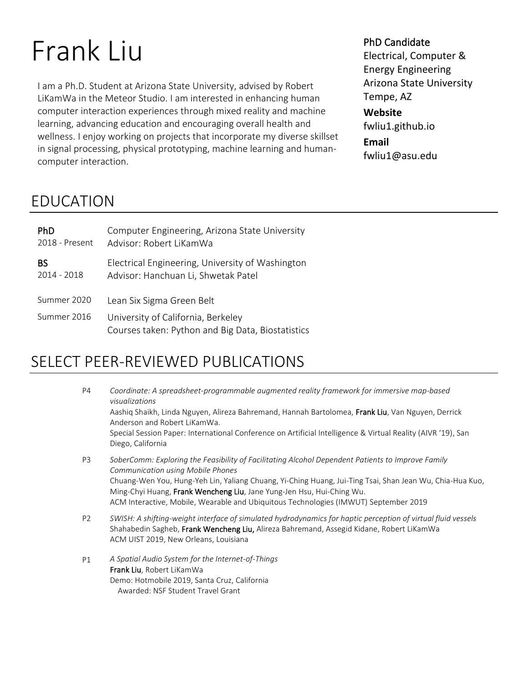# Frank Liu

I am a Ph.D. Student at Arizona State University, advised by Robert LiKamWa in the Meteor Studio. I am interested in enhancing human computer interaction experiences through mixed reality and machine learning, advancing education and encouraging overall health and wellness. I enjoy working on projects that incorporate my diverse skillset in signal processing, physical prototyping, machine learning and humancomputer interaction.

#### PhD Candidate

Electrical, Computer & Energy Engineering Arizona State University Tempe, AZ

**Website** fwliu1.github.io **Email** fwliu1@asu.edu

# EDUCATION

| <b>PhD</b>     | Computer Engineering, Arizona State University                                          |
|----------------|-----------------------------------------------------------------------------------------|
| 2018 - Present | Advisor: Robert LiKamWa                                                                 |
| BS             | Electrical Engineering, University of Washington                                        |
| $2014 - 2018$  | Advisor: Hanchuan Li, Shwetak Patel                                                     |
| Summer 2020    | Lean Six Sigma Green Belt                                                               |
| Summer 2016    | University of California, Berkeley<br>Courses taken: Python and Big Data, Biostatistics |

# SELECT PEER-REVIEWED PUBLICATIONS

| P4             | Coordinate: A spreadsheet-programmable augmented reality framework for immersive map-based<br>visualizations<br>Aashiq Shaikh, Linda Nguyen, Alireza Bahremand, Hannah Bartolomea, Frank Liu, Van Nguyen, Derrick<br>Anderson and Robert LiKamWa.<br>Special Session Paper: International Conference on Artificial Intelligence & Virtual Reality (AIVR '19), San<br>Diego, California                                     |
|----------------|----------------------------------------------------------------------------------------------------------------------------------------------------------------------------------------------------------------------------------------------------------------------------------------------------------------------------------------------------------------------------------------------------------------------------|
| P <sub>3</sub> | SoberComm: Exploring the Feasibility of Facilitating Alcohol Dependent Patients to Improve Family<br><b>Communication using Mobile Phones</b><br>Chuang-Wen You, Hung-Yeh Lin, Yaliang Chuang, Yi-Ching Huang, Jui-Ting Tsai, Shan Jean Wu, Chia-Hua Kuo,<br>Ming-Chyi Huang, Frank Wencheng Liu, Jane Yung-Jen Hsu, Hui-Ching Wu.<br>ACM Interactive, Mobile, Wearable and Ubiquitous Technologies (IMWUT) September 2019 |
| P <sub>2</sub> | SWISH: A shifting-weight interface of simulated hydrodynamics for haptic perception of virtual fluid vessels<br>Shahabedin Sagheb, Frank Wencheng Liu, Alireza Bahremand, Assegid Kidane, Robert LiKamWa<br>ACM UIST 2019, New Orleans, Louisiana                                                                                                                                                                          |
| P1             | A Spatial Audio System for the Internet-of-Things<br>Frank Liu, Robert LiKamWa<br>Demo: Hotmobile 2019, Santa Cruz, California<br>Awarded: NSF Student Travel Grant                                                                                                                                                                                                                                                        |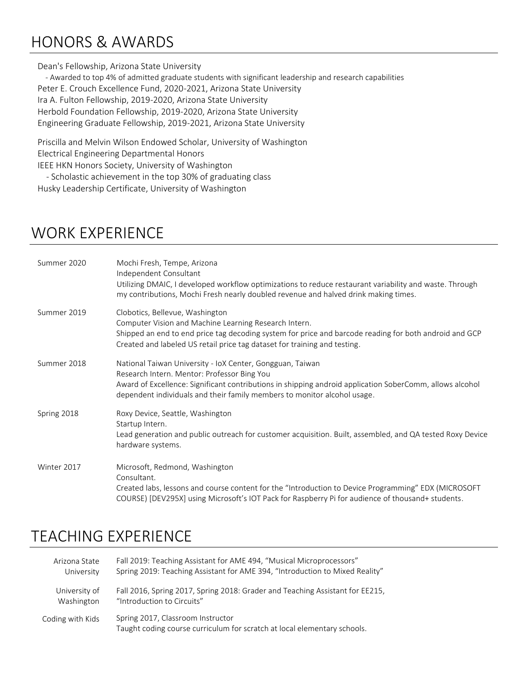# HONORS & AWARDS

#### Dean's Fellowship, Arizona State University

 - Awarded to top 4% of admitted graduate students with significant leadership and research capabilities Peter E. Crouch Excellence Fund, 2020-2021, Arizona State University Ira A. Fulton Fellowship, 2019-2020, Arizona State University Herbold Foundation Fellowship, 2019-2020, Arizona State University Engineering Graduate Fellowship, 2019-2021, Arizona State University

Priscilla and Melvin Wilson Endowed Scholar, University of Washington Electrical Engineering Departmental Honors IEEE HKN Honors Society, University of Washington - Scholastic achievement in the top 30% of graduating class

Husky Leadership Certificate, University of Washington

## WORK EXPERIENCE

| Summer 2020 | Mochi Fresh, Tempe, Arizona<br>Independent Consultant<br>Utilizing DMAIC, I developed workflow optimizations to reduce restaurant variability and waste. Through<br>my contributions, Mochi Fresh nearly doubled revenue and halved drink making times.                                          |
|-------------|--------------------------------------------------------------------------------------------------------------------------------------------------------------------------------------------------------------------------------------------------------------------------------------------------|
| Summer 2019 | Clobotics, Bellevue, Washington<br>Computer Vision and Machine Learning Research Intern.<br>Shipped an end to end price tag decoding system for price and barcode reading for both android and GCP<br>Created and labeled US retail price tag dataset for training and testing.                  |
| Summer 2018 | National Taiwan University - IoX Center, Gongguan, Taiwan<br>Research Intern. Mentor: Professor Bing You<br>Award of Excellence: Significant contributions in shipping android application SoberComm, allows alcohol<br>dependent individuals and their family members to monitor alcohol usage. |
| Spring 2018 | Roxy Device, Seattle, Washington<br>Startup Intern.<br>Lead generation and public outreach for customer acquisition. Built, assembled, and QA tested Roxy Device<br>hardware systems.                                                                                                            |
| Winter 2017 | Microsoft, Redmond, Washington<br>Consultant.<br>Created labs, lessons and course content for the "Introduction to Device Programming" EDX (MICROSOFT<br>COURSE) [DEV295X] using Microsoft's IOT Pack for Raspberry Pi for audience of thousand+ students.                                       |

#### TEACHING EXPERIENCE

| Arizona State    | Fall 2019: Teaching Assistant for AME 494, "Musical Microprocessors"                                          |
|------------------|---------------------------------------------------------------------------------------------------------------|
| University       | Spring 2019: Teaching Assistant for AME 394, "Introduction to Mixed Reality"                                  |
| University of    | Fall 2016, Spring 2017, Spring 2018: Grader and Teaching Assistant for EE215,                                 |
| Washington       | "Introduction to Circuits"                                                                                    |
| Coding with Kids | Spring 2017, Classroom Instructor<br>Taught coding course curriculum for scratch at local elementary schools. |